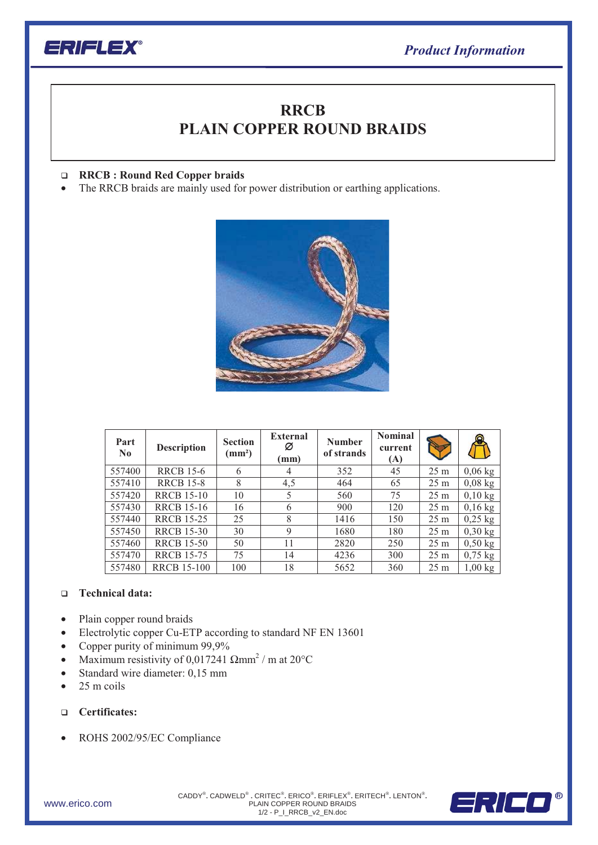

## **PLAIN COPPER ROUND BRAIDSRRCB**

## $\Box$ **RRCB : Round Red Copper braids**

• The RRCB braids are mainly used for power distribution or earthing applications.



| Part<br>$\bf No$ | <b>Description</b> | <b>Section</b><br>$\text{ (mm}^2\text{)}$ | <b>External</b><br>Ø<br>(mm) | <b>Number</b><br>of strands | <b>Nominal</b><br>current<br>(A) |                 |           |
|------------------|--------------------|-------------------------------------------|------------------------------|-----------------------------|----------------------------------|-----------------|-----------|
| 557400           | <b>RRCB 15-6</b>   | 6                                         | 4                            | 352                         | 45                               | 25 <sub>m</sub> | $0,06$ kg |
| 557410           | <b>RRCB 15-8</b>   | 8                                         | 4,5                          | 464                         | 65                               | 25 <sub>m</sub> | $0,08$ kg |
| 557420           | <b>RRCB 15-10</b>  | 10                                        | 5                            | 560                         | 75                               | 25 <sub>m</sub> | $0,10$ kg |
| 557430           | <b>RRCB</b> 15-16  | 16                                        | 6                            | 900                         | 120                              | 25 <sub>m</sub> | $0,16$ kg |
| 557440           | <b>RRCB 15-25</b>  | 25                                        | 8                            | 1416                        | 150                              | 25 <sub>m</sub> | $0,25$ kg |
| 557450           | <b>RRCB 15-30</b>  | 30                                        | 9                            | 1680                        | 180                              | 25 <sub>m</sub> | $0,30$ kg |
| 557460           | <b>RRCB 15-50</b>  | 50                                        | 11                           | 2820                        | 250                              | 25 <sub>m</sub> | $0,50$ kg |
| 557470           | <b>RRCB 15-75</b>  | 75                                        | 14                           | 4236                        | 300                              | $25 \text{ m}$  | $0,75$ kg |
| 557480           | <b>RRCB</b> 15-100 | 100                                       | 18                           | 5652                        | 360                              | 25 <sub>m</sub> | $1,00$ kg |

## - **Technical data:**

- Plain copper round braids
- Electrolytic copper Cu-ETP according to standard NF EN 13601
- Copper purity of minimum 99,9%
- Maximum resistivity of 0,017241  $\Omega$ mm<sup>2</sup> / m at 20°C
- Standard wire diameter: 0,15 mm
- $\bullet$  25 m coils
- **Certificates:**
- ROHS 2002/95/EC Compliance